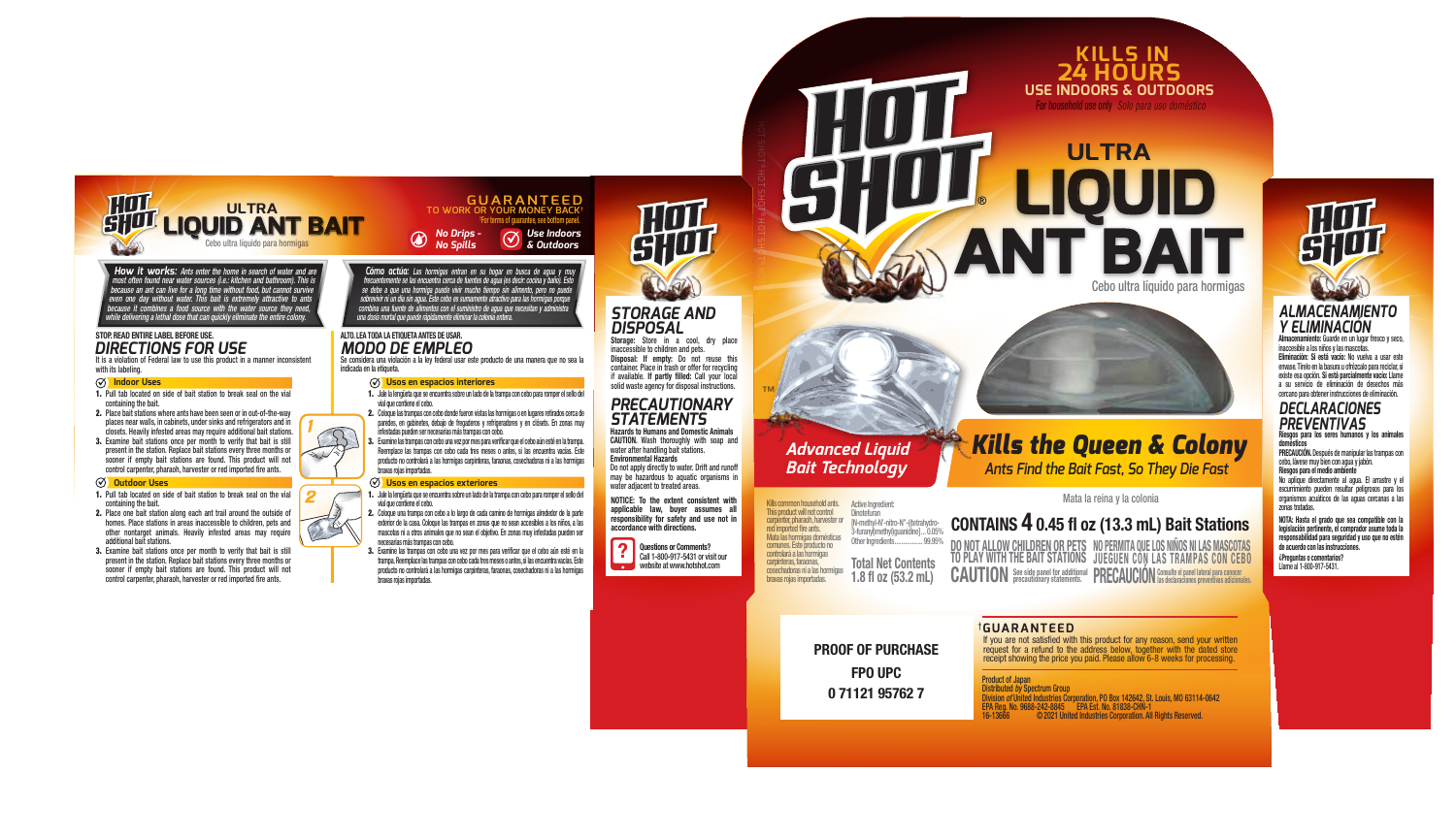

1

 $\overline{2}$ 

 $\infty$ 

**How it works:** Ants enter the home in search of water and are most often found near water sources (i.e.: kitchen and bathroom). This is because an ant can live for a long time without food, but cannot survive even one day *because it combines a food source with the water source they need, while delivering a lethal dose that can quickly eliminate the entire colony.*

# *STOP. READ ENTIRE LABEL BEFORE USE.*<br>**DIRECTIONS FOR USE**

It is a violation of Federal law to use this product in a manner inconsistent with its labeling.

#### **Indoor Uses**

- 1. Pull tab located on side of bait station to break seal on the vial containing the bait.
- 2. Place bait stations where ants have been seen or in out-of-the-way places near walls, in cabinets, under sinks and refrigerators and in closets. Heavily infested areas may require additional bait stations.
- 3. Examine bait stations once per month to verify that bait is still present in the station. Replace bait stations every three months or sooner if empty bait stations are found. This product will not control carpenter, pharaoh, harvester or red imported fire ants.

#### **Outdoor Uses**

- 1. Pull tab located on side of bait station to break seal on the vial containing the bait.
- 2. Place one bait station along each ant trail around the outside of homes. Place stations in areas inaccessible to children, pets and other nontarget animals. Heavily infested areas may require additional bait stations.
- 3. Examine bait stations once per month to verify that bait is still present in the station. Replace bait stations every three months or sooner if empty bait stations are found. This product will not control carpenter, pharaoh, harvester or red imported fire ants.

*Cómo actúa: Las hormigas entran en su hogar en busca de agua y muy*  rrecuentemente se las encuentra cerca de ruentes de agua (es decur: cocina y dano). Esto<br>se debe a que una hormiga puede vivir mucho tiempo sin alimento, pero no puede<br>sobrevivir ni un día sin agua. Este cebo es sumamente *combina una fuente de alimentos con el suministro de agua que necesitan y administra una dosis mortal que puede rápidamente eliminar la colonia entera.*

# ALTO. LEA TODA LA ETIQUETA ANTES DE USAR.<br>MODO DE EMPLEO

Se considera una violación a la ley federal usar este producto de una manera que no sea la indicada en la etiqueta.

### **Usos en espacios interiores**

- 1. Jale la lengüeta que se encuentra sobre un lado de la trampa con cebo para romper el sello del vial que contiene el cebo. 2. Coloque las trampas con cebo donde fueron vistas las hormigas o en lugares retirados cerca de
- paredes, en gabinetes, debajo de fregaderos y refrigeradores y en clósets. En zonas muy infestadas pueden ser necesarias más trampas con cebo.
- 3. Examine las trampas con cebo una vez por mes para vericar que el cebo aún esté en la trampa. Reemplace las trampas con cebo cada tres meses o antes, si las encuentra vacías. Este producto no controlará a las hormigas carpinteras, faraonas, cosechadoras ni a las hormigas bravas rojas importadas.

### **Usos en espacios exteriores**

- 1. Jale la lengüeta que se encuentra sobre un lado de la trampa con cebo para romper el sello del vial que contiene el cebo.
- 2. Coloque una trampa con cebo a lo largo de cada camino de hormigas alrededor de la parte exterior de la casa. Coloque las trampas en zonas que no sean accesibles a los niños, a las mascotas ni a otros animales que no sean el objetivo. En zonas muy infestadas pueden ser necesarias más trampas con cebo.
- 3. Examine las trampas con cebo una vez por mes para vericar que el cebo aún esté en la trampa. Reemplace las trampas con cebo cada tres meses o antes, si las encuentra vacías. Este producto no controlará a las hormigas carpinteras, faraonas, cosechadoras ni a las hormigas bravas rojas importadas.



# *STORAGE AND DISPOSAL*

Storage: Store in a cool, dry place inaccessible to children and pets. Disposal: If empty: Do not reuse this container. Place in trash or offer for recycling if available. If partly filled: Call your local<br>solid waste agency for disposal instructions.

## *PRECAUTIONARY*  **STATEMENTS**<br>Hazards to Humans and Domestic Animals

CAUTION. Wash thoroughly with soap and water after handling bait stations. Environmental Hazards Do not apply directly to water. Drift and runoff may be hazardous to aquatic organisms in

NOTICE: To the extent consistent with water adjacent to treated areas.

applicable law, buyer assumes all responsibility for safety and use not in accordance with directions.





SHOT ®HOT

> Total Net Contents  $1.8$  fl oz  $(53.2$  mL) [N-methyl-N'-nitro-N"-((tetrahydro-3-furanyl)methyl)guanidine]...0.05%<br>0.05% Other Ingredients Other Ingredients... Mata las hormigas domésticas comunes. Este producto no controlará a las hormigas carpinteras, faraonas, cosechadoras ni a las hormigas bravas rojas importadas.

> > FPO UPC 0 71121 95762 7

PROOF OF PURCHASE



# *Advanced Liquid Kills the Oueen & Colony Ants Find the Bait Fast, So They Die Fast*

**ULTRA**

**24 HOURS USE INDOORS & OUTDOORS KILLS IN**

For household use only *Solo para uso doméstico*

 **LIQUID**

**ANT BAIT**

Cebo ultra líquido para hormigas

## Mata la reina y la colonia

## CONTAINS  $4$  0.45 fl oz (13.3 mL) Bait Stations

NO PERMITA QUE LOS NIÑOS NI LAS MASCOTAS JUEGUEN CON LAS TRAMPAS CON CEBO CAUTION See side panel for additional PRECAUCION Consulte el panel lateral para conocer preventivas adicionales DO NOT ALLOW CHILDREN OR PETS TO PLAY WITH THE BAIT STATIONS

†**GUARANTEED**

If you are not satisfied with this product for any reason, send your written request for a refund to the address below, together with the dated store receipt showing the price you paid. Please allow 6-8 weeks for processing.

Product of Japan

Distributed *by* Spectrum Group Division *of* United Industries Corporation, PO Box 142642, St. Louis, MO 63114-0642 EPA Reg. No. 9688-242-8845 EPA Est. No. 81838-CHN-1 © 2021 United Industries Corporation. All Rights Reserved.

# *ALMACENAMIENTO Y ELIMINACIÓN*

Almacenamiento: Guarde en un lugar fresco y seco, inaccesible a los niños y las mascotas. Eliminación: Si está vacío: No vuelva a usar este envase. Tírelo en la basura u ofrézcalo para reciclar, si existe esa opción. Si está parcialmente vacío: Llame a su servicio de eliminación de desechos más cercano para obtener instrucciones de eliminación.

## *DECLARACIONES PREVENTIVAS*

Riesgos para los seres humanos y los animales domésticos PRECAUCIÓN. Después de manipular las trampas con

cebo, lávese muy bien con agua y jabón. Riesgos para el medio ambiente No aplique directamente al agua. El arrastre y el escurrimiento pueden resultar peligrosos para los organismos acuáticos de las aguas cercanas a las zonas tratadas.

NOTA: Hasta el grado que sea compatible con la legislación pertinente, el comprador asume toda la responsabilidad para seguridad y uso que no estén de acuerdo con las instrucciones. ¿Preguntas o comentarios? Llame al 1-800-917-5431.